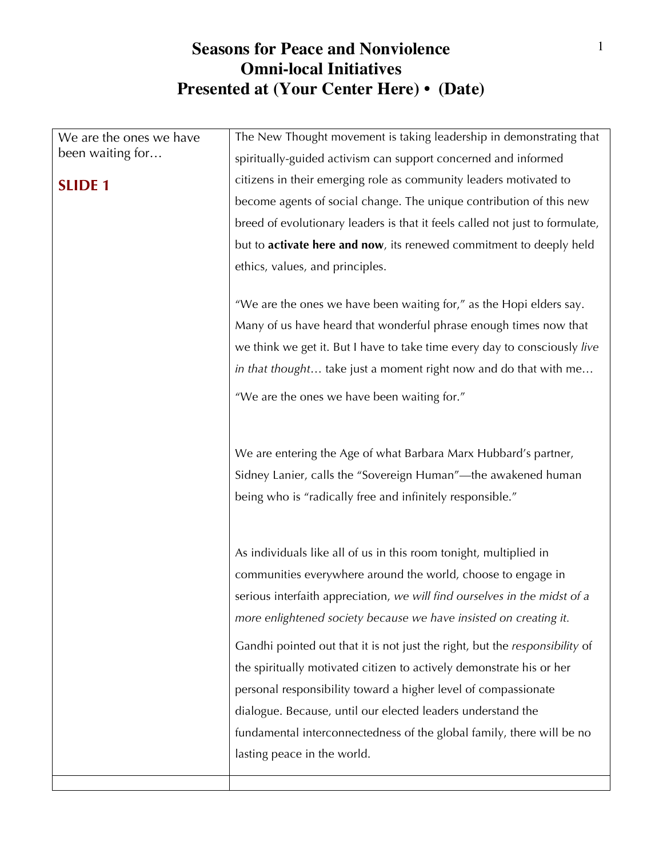| We are the ones we have | The New Thought movement is taking leadership in demonstrating that          |
|-------------------------|------------------------------------------------------------------------------|
| been waiting for        | spiritually-guided activism can support concerned and informed               |
| <b>SLIDE 1</b>          | citizens in their emerging role as community leaders motivated to            |
|                         | become agents of social change. The unique contribution of this new          |
|                         | breed of evolutionary leaders is that it feels called not just to formulate, |
|                         | but to activate here and now, its renewed commitment to deeply held          |
|                         | ethics, values, and principles.                                              |
|                         |                                                                              |
|                         | "We are the ones we have been waiting for," as the Hopi elders say.          |
|                         | Many of us have heard that wonderful phrase enough times now that            |
|                         | we think we get it. But I have to take time every day to consciously live    |
|                         | in that thought take just a moment right now and do that with me             |
|                         | "We are the ones we have been waiting for."                                  |
|                         |                                                                              |
|                         |                                                                              |
|                         | We are entering the Age of what Barbara Marx Hubbard's partner,              |
|                         | Sidney Lanier, calls the "Sovereign Human"—the awakened human                |
|                         | being who is "radically free and infinitely responsible."                    |
|                         |                                                                              |
|                         | As individuals like all of us in this room tonight, multiplied in            |
|                         | communities everywhere around the world, choose to engage in                 |
|                         | serious interfaith appreciation, we will find ourselves in the midst of a    |
|                         | more enlightened society because we have insisted on creating it.            |
|                         |                                                                              |
|                         | Gandhi pointed out that it is not just the right, but the responsibility of  |
|                         | the spiritually motivated citizen to actively demonstrate his or her         |
|                         | personal responsibility toward a higher level of compassionate               |
|                         | dialogue. Because, until our elected leaders understand the                  |
|                         | fundamental interconnectedness of the global family, there will be no        |
|                         | lasting peace in the world.                                                  |
|                         |                                                                              |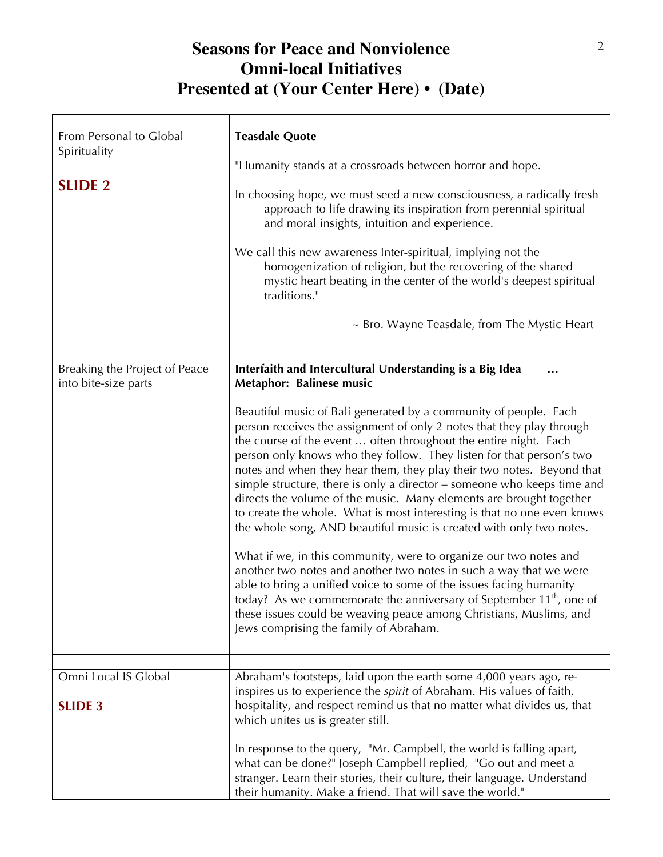| From Personal to Global<br>Spirituality | <b>Teasdale Quote</b>                                                                                                                                                                                                                                                                                                                                                                                                                                                                                                                                                                                                                                                                                                                                                                                                                                                                                                                                                                                                                                                         |
|-----------------------------------------|-------------------------------------------------------------------------------------------------------------------------------------------------------------------------------------------------------------------------------------------------------------------------------------------------------------------------------------------------------------------------------------------------------------------------------------------------------------------------------------------------------------------------------------------------------------------------------------------------------------------------------------------------------------------------------------------------------------------------------------------------------------------------------------------------------------------------------------------------------------------------------------------------------------------------------------------------------------------------------------------------------------------------------------------------------------------------------|
|                                         | "Humanity stands at a crossroads between horror and hope.                                                                                                                                                                                                                                                                                                                                                                                                                                                                                                                                                                                                                                                                                                                                                                                                                                                                                                                                                                                                                     |
| <b>SLIDE 2</b>                          | In choosing hope, we must seed a new consciousness, a radically fresh<br>approach to life drawing its inspiration from perennial spiritual<br>and moral insights, intuition and experience.                                                                                                                                                                                                                                                                                                                                                                                                                                                                                                                                                                                                                                                                                                                                                                                                                                                                                   |
|                                         | We call this new awareness Inter-spiritual, implying not the<br>homogenization of religion, but the recovering of the shared<br>mystic heart beating in the center of the world's deepest spiritual<br>traditions."                                                                                                                                                                                                                                                                                                                                                                                                                                                                                                                                                                                                                                                                                                                                                                                                                                                           |
|                                         | ~ Bro. Wayne Teasdale, from The Mystic Heart                                                                                                                                                                                                                                                                                                                                                                                                                                                                                                                                                                                                                                                                                                                                                                                                                                                                                                                                                                                                                                  |
|                                         |                                                                                                                                                                                                                                                                                                                                                                                                                                                                                                                                                                                                                                                                                                                                                                                                                                                                                                                                                                                                                                                                               |
| Breaking the Project of Peace           | Interfaith and Intercultural Understanding is a Big Idea                                                                                                                                                                                                                                                                                                                                                                                                                                                                                                                                                                                                                                                                                                                                                                                                                                                                                                                                                                                                                      |
| into bite-size parts                    | Metaphor: Balinese music                                                                                                                                                                                                                                                                                                                                                                                                                                                                                                                                                                                                                                                                                                                                                                                                                                                                                                                                                                                                                                                      |
|                                         | Beautiful music of Bali generated by a community of people. Each<br>person receives the assignment of only 2 notes that they play through<br>the course of the event  often throughout the entire night. Each<br>person only knows who they follow. They listen for that person's two<br>notes and when they hear them, they play their two notes. Beyond that<br>simple structure, there is only a director – someone who keeps time and<br>directs the volume of the music. Many elements are brought together<br>to create the whole. What is most interesting is that no one even knows<br>the whole song, AND beautiful music is created with only two notes.<br>What if we, in this community, were to organize our two notes and<br>another two notes and another two notes in such a way that we were<br>able to bring a unified voice to some of the issues facing humanity<br>today? As we commemorate the anniversary of September $11th$ , one of<br>these issues could be weaving peace among Christians, Muslims, and<br>Jews comprising the family of Abraham. |
| Omni Local IS Global                    | Abraham's footsteps, laid upon the earth some 4,000 years ago, re-                                                                                                                                                                                                                                                                                                                                                                                                                                                                                                                                                                                                                                                                                                                                                                                                                                                                                                                                                                                                            |
| <b>SLIDE 3</b>                          | inspires us to experience the <i>spirit</i> of Abraham. His values of faith,<br>hospitality, and respect remind us that no matter what divides us, that<br>which unites us is greater still.                                                                                                                                                                                                                                                                                                                                                                                                                                                                                                                                                                                                                                                                                                                                                                                                                                                                                  |
|                                         | In response to the query, "Mr. Campbell, the world is falling apart,<br>what can be done?" Joseph Campbell replied, "Go out and meet a<br>stranger. Learn their stories, their culture, their language. Understand<br>their humanity. Make a friend. That will save the world."                                                                                                                                                                                                                                                                                                                                                                                                                                                                                                                                                                                                                                                                                                                                                                                               |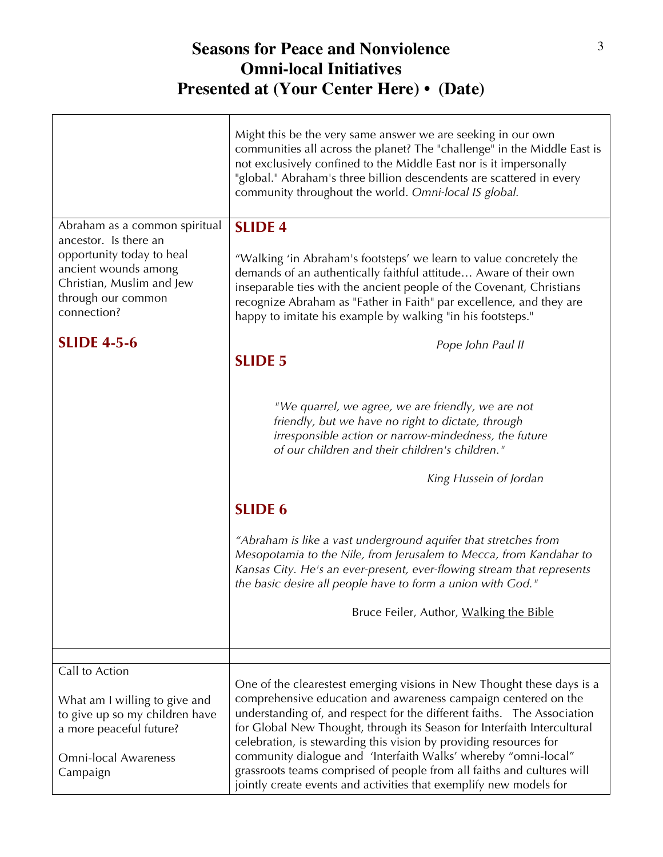|                                                                                                                                       | Might this be the very same answer we are seeking in our own<br>communities all across the planet? The "challenge" in the Middle East is<br>not exclusively confined to the Middle East nor is it impersonally<br>"global." Abraham's three billion descendents are scattered in every<br>community throughout the world. Omni-local IS global.                                                                                                                                                                                                                                                                 |
|---------------------------------------------------------------------------------------------------------------------------------------|-----------------------------------------------------------------------------------------------------------------------------------------------------------------------------------------------------------------------------------------------------------------------------------------------------------------------------------------------------------------------------------------------------------------------------------------------------------------------------------------------------------------------------------------------------------------------------------------------------------------|
| Abraham as a common spiritual<br>ancestor. Is there an                                                                                | <b>SLIDE 4</b>                                                                                                                                                                                                                                                                                                                                                                                                                                                                                                                                                                                                  |
| opportunity today to heal<br>ancient wounds among<br>Christian, Muslim and Jew<br>through our common<br>connection?                   | "Walking 'in Abraham's footsteps' we learn to value concretely the<br>demands of an authentically faithful attitude Aware of their own<br>inseparable ties with the ancient people of the Covenant, Christians<br>recognize Abraham as "Father in Faith" par excellence, and they are<br>happy to imitate his example by walking "in his footsteps."                                                                                                                                                                                                                                                            |
| <b>SLIDE 4-5-6</b>                                                                                                                    | Pope John Paul II                                                                                                                                                                                                                                                                                                                                                                                                                                                                                                                                                                                               |
|                                                                                                                                       | <b>SLIDE 5</b><br>"We quarrel, we agree, we are friendly, we are not<br>friendly, but we have no right to dictate, through<br>irresponsible action or narrow-mindedness, the future<br>of our children and their children's children."<br>King Hussein of Jordan<br><b>SLIDE 6</b><br>"Abraham is like a vast underground aquifer that stretches from<br>Mesopotamia to the Nile, from Jerusalem to Mecca, from Kandahar to<br>Kansas City. He's an ever-present, ever-flowing stream that represents<br>the basic desire all people have to form a union with God."<br>Bruce Feiler, Author, Walking the Bible |
| Call to Action                                                                                                                        |                                                                                                                                                                                                                                                                                                                                                                                                                                                                                                                                                                                                                 |
| What am I willing to give and<br>to give up so my children have<br>a more peaceful future?<br><b>Omni-local Awareness</b><br>Campaign | One of the clearestest emerging visions in New Thought these days is a<br>comprehensive education and awareness campaign centered on the<br>understanding of, and respect for the different faiths.  The Association<br>for Global New Thought, through its Season for Interfaith Intercultural<br>celebration, is stewarding this vision by providing resources for<br>community dialogue and 'Interfaith Walks' whereby "omni-local"<br>grassroots teams comprised of people from all faiths and cultures will<br>jointly create events and activities that exemplify new models for                          |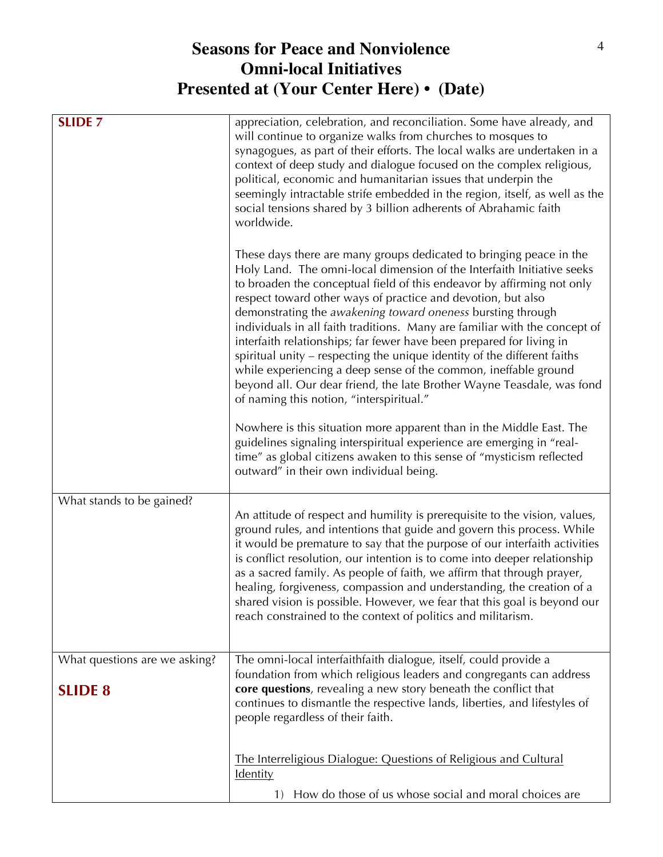| <b>SLIDE 7</b>                                  | appreciation, celebration, and reconciliation. Some have already, and<br>will continue to organize walks from churches to mosques to<br>synagogues, as part of their efforts. The local walks are undertaken in a<br>context of deep study and dialogue focused on the complex religious,<br>political, economic and humanitarian issues that underpin the<br>seemingly intractable strife embedded in the region, itself, as well as the<br>social tensions shared by 3 billion adherents of Abrahamic faith<br>worldwide.                                                                                                                                                                                                                                                       |
|-------------------------------------------------|-----------------------------------------------------------------------------------------------------------------------------------------------------------------------------------------------------------------------------------------------------------------------------------------------------------------------------------------------------------------------------------------------------------------------------------------------------------------------------------------------------------------------------------------------------------------------------------------------------------------------------------------------------------------------------------------------------------------------------------------------------------------------------------|
|                                                 | These days there are many groups dedicated to bringing peace in the<br>Holy Land. The omni-local dimension of the Interfaith Initiative seeks<br>to broaden the conceptual field of this endeavor by affirming not only<br>respect toward other ways of practice and devotion, but also<br>demonstrating the awakening toward oneness bursting through<br>individuals in all faith traditions. Many are familiar with the concept of<br>interfaith relationships; far fewer have been prepared for living in<br>spiritual unity - respecting the unique identity of the different faiths<br>while experiencing a deep sense of the common, ineffable ground<br>beyond all. Our dear friend, the late Brother Wayne Teasdale, was fond<br>of naming this notion, "interspiritual." |
|                                                 | Nowhere is this situation more apparent than in the Middle East. The<br>guidelines signaling interspiritual experience are emerging in "real-<br>time" as global citizens awaken to this sense of "mysticism reflected<br>outward" in their own individual being.                                                                                                                                                                                                                                                                                                                                                                                                                                                                                                                 |
| What stands to be gained?                       | An attitude of respect and humility is prerequisite to the vision, values,<br>ground rules, and intentions that guide and govern this process. While<br>it would be premature to say that the purpose of our interfaith activities<br>is conflict resolution, our intention is to come into deeper relationship<br>as a sacred family. As people of faith, we affirm that through prayer,<br>healing, forgiveness, compassion and understanding, the creation of a<br>shared vision is possible. However, we fear that this goal is beyond our<br>reach constrained to the context of politics and militarism.                                                                                                                                                                    |
| What questions are we asking?<br><b>SLIDE 8</b> | The omni-local interfaithfaith dialogue, itself, could provide a<br>foundation from which religious leaders and congregants can address<br>core questions, revealing a new story beneath the conflict that<br>continues to dismantle the respective lands, liberties, and lifestyles of<br>people regardless of their faith.                                                                                                                                                                                                                                                                                                                                                                                                                                                      |
|                                                 | The Interreligious Dialogue: Questions of Religious and Cultural<br><b>Identity</b>                                                                                                                                                                                                                                                                                                                                                                                                                                                                                                                                                                                                                                                                                               |
|                                                 | How do those of us whose social and moral choices are<br>1)                                                                                                                                                                                                                                                                                                                                                                                                                                                                                                                                                                                                                                                                                                                       |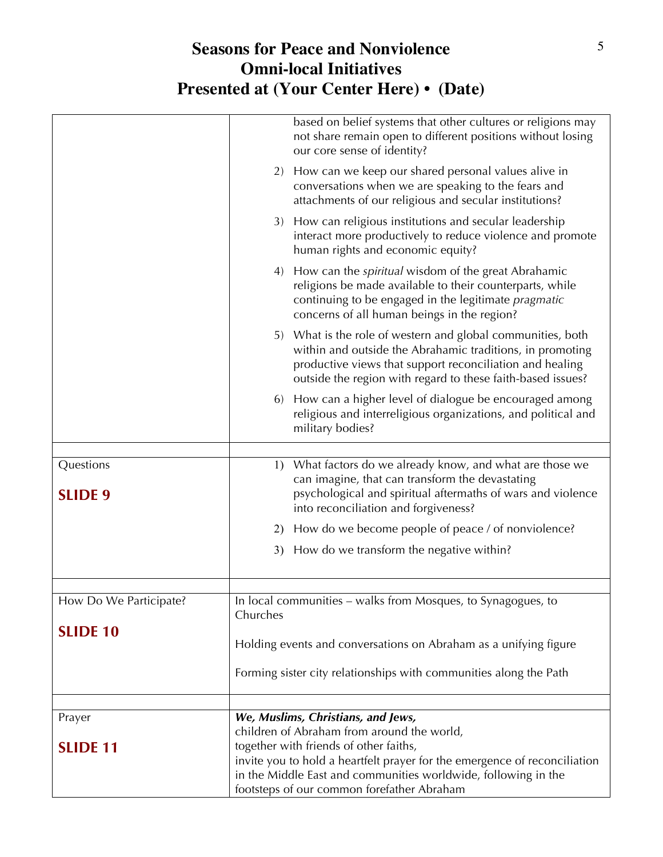|                        | How can we keep our shared personal values alive in<br>2)<br>conversations when we are speaking to the fears and<br>attachments of our religious and secular institutions?                                                                          |
|------------------------|-----------------------------------------------------------------------------------------------------------------------------------------------------------------------------------------------------------------------------------------------------|
|                        | How can religious institutions and secular leadership<br>3)<br>interact more productively to reduce violence and promote<br>human rights and economic equity?                                                                                       |
|                        | How can the <i>spiritual</i> wisdom of the great Abrahamic<br>4)<br>religions be made available to their counterparts, while<br>continuing to be engaged in the legitimate pragmatic<br>concerns of all human beings in the region?                 |
|                        | 5) What is the role of western and global communities, both<br>within and outside the Abrahamic traditions, in promoting<br>productive views that support reconciliation and healing<br>outside the region with regard to these faith-based issues? |
|                        | How can a higher level of dialogue be encouraged among<br>6)<br>religious and interreligious organizations, and political and<br>military bodies?                                                                                                   |
| Questions              | What factors do we already know, and what are those we<br>1)                                                                                                                                                                                        |
| <b>SLIDE 9</b>         | can imagine, that can transform the devastating<br>psychological and spiritual aftermaths of wars and violence<br>into reconciliation and forgiveness?                                                                                              |
|                        | How do we become people of peace / of nonviolence?<br>2)                                                                                                                                                                                            |
|                        | How do we transform the negative within?<br>3)                                                                                                                                                                                                      |
|                        |                                                                                                                                                                                                                                                     |
| How Do We Participate? | In local communities – walks from Mosques, to Synagogues, to<br>Churches                                                                                                                                                                            |
| <b>SLIDE 10</b>        | Holding events and conversations on Abraham as a unifying figure                                                                                                                                                                                    |
|                        | Forming sister city relationships with communities along the Path                                                                                                                                                                                   |
|                        | We, Muslims, Christians, and Jews,                                                                                                                                                                                                                  |
| Prayer                 | children of Abraham from around the world,                                                                                                                                                                                                          |
| <b>SLIDE 11</b>        | together with friends of other faiths,                                                                                                                                                                                                              |
|                        | invite you to hold a heartfelt prayer for the emergence of reconciliation<br>in the Middle East and communities worldwide, following in the<br>footsteps of our common forefather Abraham                                                           |